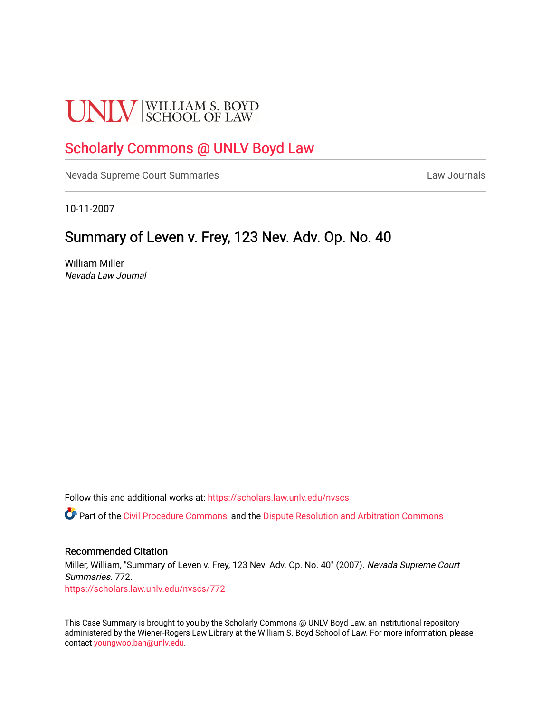# **UNLV** SCHOOL OF LAW

## [Scholarly Commons @ UNLV Boyd Law](https://scholars.law.unlv.edu/)

[Nevada Supreme Court Summaries](https://scholars.law.unlv.edu/nvscs) **Law Journals** Law Journals

10-11-2007

## Summary of Leven v. Frey, 123 Nev. Adv. Op. No. 40

William Miller Nevada Law Journal

Follow this and additional works at: [https://scholars.law.unlv.edu/nvscs](https://scholars.law.unlv.edu/nvscs?utm_source=scholars.law.unlv.edu%2Fnvscs%2F772&utm_medium=PDF&utm_campaign=PDFCoverPages)

**C** Part of the [Civil Procedure Commons,](http://network.bepress.com/hgg/discipline/584?utm_source=scholars.law.unlv.edu%2Fnvscs%2F772&utm_medium=PDF&utm_campaign=PDFCoverPages) and the Dispute Resolution and Arbitration Commons

#### Recommended Citation

Miller, William, "Summary of Leven v. Frey, 123 Nev. Adv. Op. No. 40" (2007). Nevada Supreme Court Summaries. 772. [https://scholars.law.unlv.edu/nvscs/772](https://scholars.law.unlv.edu/nvscs/772?utm_source=scholars.law.unlv.edu%2Fnvscs%2F772&utm_medium=PDF&utm_campaign=PDFCoverPages)

This Case Summary is brought to you by the Scholarly Commons @ UNLV Boyd Law, an institutional repository administered by the Wiener-Rogers Law Library at the William S. Boyd School of Law. For more information, please contact [youngwoo.ban@unlv.edu](mailto:youngwoo.ban@unlv.edu).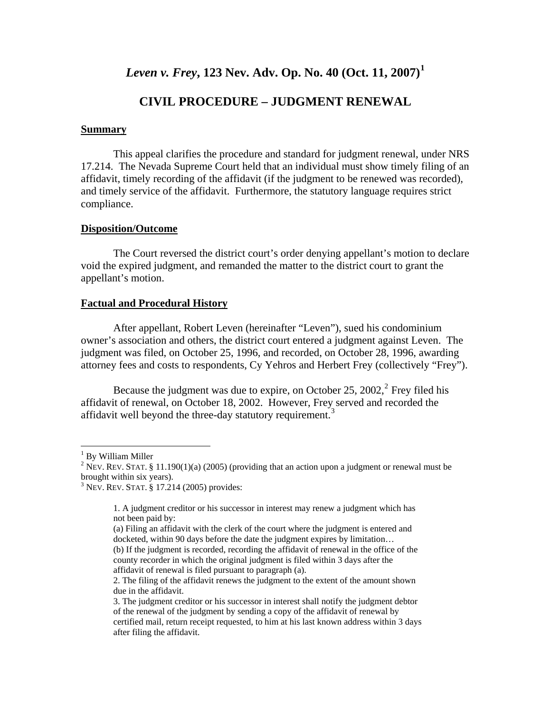*Leven v. Frey***, 123 Nev. Adv. Op. No. 40 (Oct. 11, 2007)[1](#page-1-0)**

### **CIVIL PROCEDURE – JUDGMENT RENEWAL**

#### **Summary**

This appeal clarifies the procedure and standard for judgment renewal, under NRS 17.214. The Nevada Supreme Court held that an individual must show timely filing of an affidavit, timely recording of the affidavit (if the judgment to be renewed was recorded), and timely service of the affidavit. Furthermore, the statutory language requires strict compliance.

#### **Disposition/Outcome**

The Court reversed the district court's order denying appellant's motion to declare void the expired judgment, and remanded the matter to the district court to grant the appellant's motion.

#### **Factual and Procedural History**

 After appellant, Robert Leven (hereinafter "Leven"), sued his condominium owner's association and others, the district court entered a judgment against Leven. The judgment was filed, on October 25, 1996, and recorded, on October 28, 1996, awarding attorney fees and costs to respondents, Cy Yehros and Herbert Frey (collectively "Frey").

Because the judgment was due to expire, on October [2](#page-1-1)5, 2002, $^2$  Frey filed his affidavit of renewal, on October 18, 2002. However, Frey served and recorded the affidavit well beyond the three-day statutory requirement.<sup>[3](#page-1-2)</sup>

 $\overline{a}$ 

<span id="page-1-0"></span><sup>&</sup>lt;sup>1</sup> By William Miller

<span id="page-1-1"></span><sup>&</sup>lt;sup>2</sup> NEV. REV. STAT. § 11.190(1)(a) (2005) (providing that an action upon a judgment or renewal must be brought within six years).

<span id="page-1-2"></span><sup>3</sup> NEV. REV. STAT. § 17.214 (2005) provides:

<sup>1.</sup> A judgment creditor or his successor in interest may renew a judgment which has not been paid by:

<sup>(</sup>a) Filing an affidavit with the clerk of the court where the judgment is entered and docketed, within 90 days before the date the judgment expires by limitation… (b) If the judgment is recorded, recording the affidavit of renewal in the office of the county recorder in which the original judgment is filed within 3 days after the affidavit of renewal is filed pursuant to paragraph (a).

<sup>2.</sup> The filing of the affidavit renews the judgment to the extent of the amount shown due in the affidavit.

<sup>3.</sup> The judgment creditor or his successor in interest shall notify the judgment debtor of the renewal of the judgment by sending a copy of the affidavit of renewal by certified mail, return receipt requested, to him at his last known address within 3 days after filing the affidavit.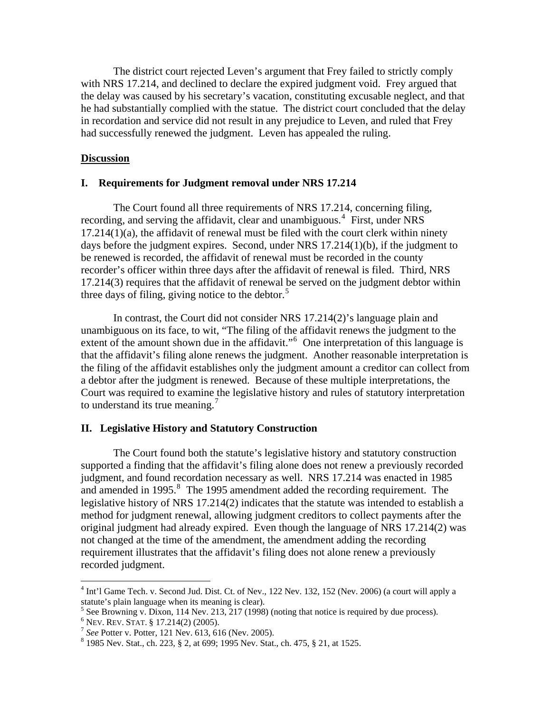The district court rejected Leven's argument that Frey failed to strictly comply with NRS 17.214, and declined to declare the expired judgment void. Frey argued that the delay was caused by his secretary's vacation, constituting excusable neglect, and that he had substantially complied with the statue. The district court concluded that the delay in recordation and service did not result in any prejudice to Leven, and ruled that Frey had successfully renewed the judgment. Leven has appealed the ruling.

#### **Discussion**

#### **I. Requirements for Judgment removal under NRS 17.214**

 The Court found all three requirements of NRS 17.214, concerning filing, recording, and serving the affidavit, clear and unambiguous.<sup>[4](#page-2-0)</sup> First, under NRS  $17.214(1)(a)$ , the affidavit of renewal must be filed with the court clerk within ninety days before the judgment expires. Second, under NRS 17.214(1)(b), if the judgment to be renewed is recorded, the affidavit of renewal must be recorded in the county recorder's officer within three days after the affidavit of renewal is filed. Third, NRS 17.214(3) requires that the affidavit of renewal be served on the judgment debtor within three days of filing, giving notice to the debtor.<sup>[5](#page-2-1)</sup>

 In contrast, the Court did not consider NRS 17.214(2)'s language plain and unambiguous on its face, to wit, "The filing of the affidavit renews the judgment to the extent of the amount shown due in the affidavit."<sup>[6](#page-2-2)</sup> One interpretation of this language is that the affidavit's filing alone renews the judgment. Another reasonable interpretation is the filing of the affidavit establishes only the judgment amount a creditor can collect from a debtor after the judgment is renewed. Because of these multiple interpretations, the Court was required to examine the legislative history and rules of statutory interpretation to understand its true meaning.<sup>[7](#page-2-3)</sup>

#### **II. Legislative History and Statutory Construction**

 The Court found both the statute's legislative history and statutory construction supported a finding that the affidavit's filing alone does not renew a previously recorded judgment, and found recordation necessary as well. NRS 17.214 was enacted in 1985 and amended in 1995. $8$  The 1995 amendment added the recording requirement. The legislative history of NRS 17.214(2) indicates that the statute was intended to establish a method for judgment renewal, allowing judgment creditors to collect payments after the original judgment had already expired. Even though the language of NRS 17.214(2) was not changed at the time of the amendment, the amendment adding the recording requirement illustrates that the affidavit's filing does not alone renew a previously recorded judgment.

 $\overline{a}$ 

<span id="page-2-0"></span><sup>&</sup>lt;sup>4</sup> Int'l Game Tech. v. Second Jud. Dist. Ct. of Nev., 122 Nev. 132, 152 (Nev. 2006) (a court will apply a statute's plain language when its meaning is clear).

 $<sup>5</sup>$  See Browning v. Dixon, 114 Nev. 213, 217 (1998) (noting that notice is required by due process).</sup>

<span id="page-2-2"></span><span id="page-2-1"></span> $6$  Nev. Rev. STAT. § 17.214(2) (2005).

<span id="page-2-3"></span><sup>&</sup>lt;sup>7</sup> See Potter v. Potter, 121 Nev. 613, 616 (Nev. 2005).

<span id="page-2-4"></span> <sup>1985</sup> Nev. Stat., ch. 223, § 2, at 699; 1995 Nev. Stat., ch. 475, § 21, at 1525.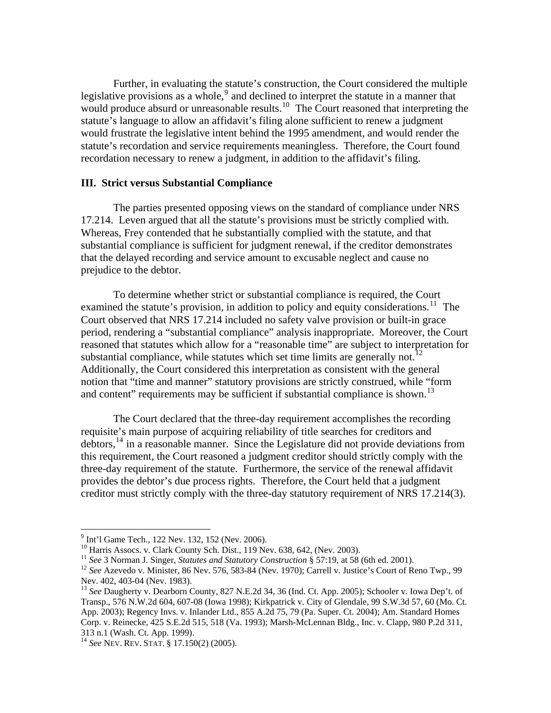Further, in evaluating the statute's construction, the Court considered the multiple legislative provisions as a whole,  $9$  and declined to interpret the statute in a manner that would produce absurd or unreasonable results.<sup>[10](#page-3-1)</sup> The Court reasoned that interpreting the statute's language to allow an affidavit's filing alone sufficient to renew a judgment would frustrate the legislative intent behind the 1995 amendment, and would render the statute's recordation and service requirements meaningless. Therefore, the Court found recordation necessary to renew a judgment, in addition to the affidavit's filing.

#### **III. Strict versus Substantial Compliance**

 The parties presented opposing views on the standard of compliance under NRS 17.214. Leven argued that all the statute's provisions must be strictly complied with. Whereas, Frey contended that he substantially complied with the statute, and that substantial compliance is sufficient for judgment renewal, if the creditor demonstrates that the delayed recording and service amount to excusable neglect and cause no prejudice to the debtor.

 To determine whether strict or substantial compliance is required, the Court examined the statute's provision, in addition to policy and equity considerations.<sup>[11](#page-3-2)</sup> The Court observed that NRS 17.214 included no safety valve provision or built-in grace period, rendering a "substantial compliance" analysis inappropriate. Moreover, the Court reasoned that statutes which allow for a "reasonable time" are subject to interpretation for substantial compliance, while statutes which set time limits are generally not.<sup>[12](#page-3-3)</sup> Additionally, the Court considered this interpretation as consistent with the general notion that "time and manner" statutory provisions are strictly construed, while "form and content" requirements may be sufficient if substantial compliance is shown.<sup>[13](#page-3-4)</sup>

 The Court declared that the three-day requirement accomplishes the recording requisite's main purpose of acquiring reliability of title searches for creditors and debtors,[14](#page-3-5) in a reasonable manner. Since the Legislature did not provide deviations from this requirement, the Court reasoned a judgment creditor should strictly comply with the three-day requirement of the statute. Furthermore, the service of the renewal affidavit provides the debtor's due process rights. Therefore, the Court held that a judgment creditor must strictly comply with the three-day statutory requirement of NRS 17.214(3).

 9 Int'l Game Tech., 122 Nev. 132, 152 (Nev. 2006).

<span id="page-3-1"></span><span id="page-3-0"></span><sup>&</sup>lt;sup>10</sup> Harris Assocs. v. Clark County Sch. Dist., 119 Nev. 638, 642, (Nev. 2003).<br><sup>11</sup> See 3 Norman J. Singer, *Statutes and Statutory Construction* § 57:19, at 58 (6th ed. 2001).

<span id="page-3-3"></span><span id="page-3-2"></span><sup>&</sup>lt;sup>12</sup> See Azevedo v. Minister, 86 Nev. 576, 583-84 (Nev. 1970); Carrell v. Justice's Court of Reno Twp., 99 Nev. 402, 403-04 (Nev. 1983).

<span id="page-3-4"></span><sup>&</sup>lt;sup>13</sup> See Daugherty v. Dearborn County, 827 N.E.2d 34, 36 (Ind. Ct. App. 2005); Schooler v. Iowa Dep't. of Transp., 576 N.W.2d 604, 607-08 (Iowa 1998); Kirkpatrick v. City of Glendale, 99 S.W.3d 57, 60 (Mo. Ct. App. 2003); Regency Invs. v. Inlander Ltd., 855 A.2d 75, 79 (Pa. Super. Ct. 2004); Am. Standard Homes Corp. v. Reinecke, 425 S.E.2d 515, 518 (Va. 1993); Marsh-McLennan Bldg., Inc. v. Clapp, 980 P.2d 311, 313 n.1 (Wash. Ct. App. 1999).

<span id="page-3-5"></span><sup>14</sup> *See* NEV. REV. STAT. § 17.150(2) (2005).